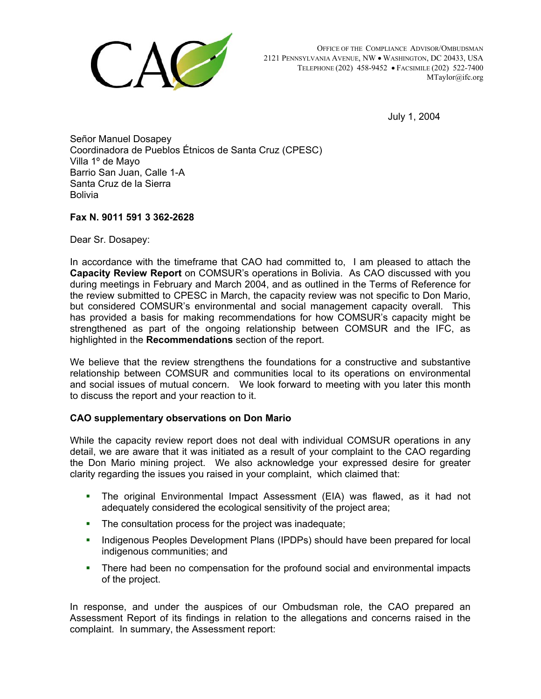

 OFFICE OF THE COMPLIANCE ADVISOR/OMBUDSMAN 2121 PENNSYLVANIA AVENUE, NW • WASHINGTON, DC 20433, USA TELEPHONE (202) 458-9452 • FACSIMILE (202) 522-7400 MTaylor@ifc.org

July 1, 2004

Señor Manuel Dosapey Coordinadora de Pueblos Étnicos de Santa Cruz (CPESC) Villa 1º de Mayo Barrio San Juan, Calle 1-A Santa Cruz de la Sierra Bolivia

## **Fax N. 9011 591 3 362-2628**

Dear Sr. Dosapey:

In accordance with the timeframe that CAO had committed to, I am pleased to attach the **Capacity Review Report** on COMSUR's operations in Bolivia. As CAO discussed with you during meetings in February and March 2004, and as outlined in the Terms of Reference for the review submitted to CPESC in March, the capacity review was not specific to Don Mario, but considered COMSUR's environmental and social management capacity overall. This has provided a basis for making recommendations for how COMSUR's capacity might be strengthened as part of the ongoing relationship between COMSUR and the IFC, as highlighted in the **Recommendations** section of the report.

We believe that the review strengthens the foundations for a constructive and substantive relationship between COMSUR and communities local to its operations on environmental and social issues of mutual concern. We look forward to meeting with you later this month to discuss the report and your reaction to it.

## **CAO supplementary observations on Don Mario**

While the capacity review report does not deal with individual COMSUR operations in any detail, we are aware that it was initiated as a result of your complaint to the CAO regarding the Don Mario mining project. We also acknowledge your expressed desire for greater clarity regarding the issues you raised in your complaint, which claimed that:

- The original Environmental Impact Assessment (EIA) was flawed, as it had not adequately considered the ecological sensitivity of the project area;
- a i The consultation process for the project was inadequate;
- $\mathbf{u}$ Indigenous Peoples Development Plans (IPDPs) should have been prepared for local indigenous communities; and
- $\mathbf{r}$ There had been no compensation for the profound social and environmental impacts of the project.

In response, and under the auspices of our Ombudsman role, the CAO prepared an Assessment Report of its findings in relation to the allegations and concerns raised in the complaint. In summary, the Assessment report: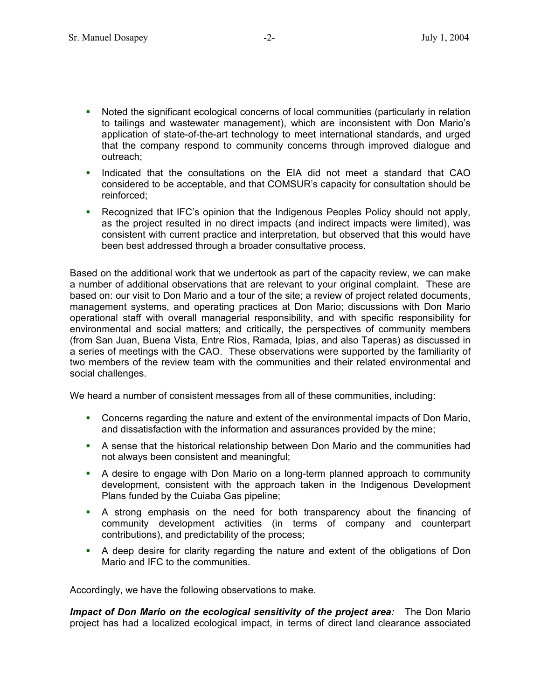- Noted the significant ecological concerns of local communities (particularly in relation to tailings and wastewater management), which are inconsistent with Don Mario's application of state-of-the-art technology to meet international standards, and urged that the company respond to community concerns through improved dialogue and outreach; a i
- $\mathbf{r}$ Indicated that the consultations on the EIA did not meet a standard that CAO considered to be acceptable, and that COMSUR's capacity for consultation should be reinforced;
- $\mathbf{r}$ Recognized that IFC's opinion that the Indigenous Peoples Policy should not apply, as the project resulted in no direct impacts (and indirect impacts were limited), was consistent with current practice and interpretation, but observed that this would have been best addressed through a broader consultative process.

Based on the additional work that we undertook as part of the capacity review, we can make a number of additional observations that are relevant to your original complaint. These are based on: our visit to Don Mario and a tour of the site; a review of project related documents, management systems, and operating practices at Don Mario; discussions with Don Mario operational staff with overall managerial responsibility, and with specific responsibility for environmental and social matters; and critically, the perspectives of community members (from San Juan, Buena Vista, Entre Rios, Ramada, Ipias, and also Taperas) as discussed in a series of meetings with the CAO. These observations were supported by the familiarity of two members of the review team with the communities and their related environmental and social challenges.

We heard a number of consistent messages from all of these communities, including:

- **Concerns regarding the nature and extent of the environmental impacts of Don Mario,** and dissatisfaction with the information and assurances provided by the mine;
- A sense that the historical relationship between Don Mario and the communities had not always been consistent and meaningful;
- a i A desire to engage with Don Mario on a long-term planned approach to community development, consistent with the approach taken in the Indigenous Development Plans funded by the Cuiaba Gas pipeline;
- A strong emphasis on the need for both transparency about the financing of community development activities (in terms of company and counterpart contributions), and predictability of the process;
- A deep desire for clarity regarding the nature and extent of the obligations of Don Mario and IFC to the communities.

Accordingly, we have the following observations to make.

*Impact of Don Mario on the ecological sensitivity of the project area:* The Don Mario project has had a localized ecological impact, in terms of direct land clearance associated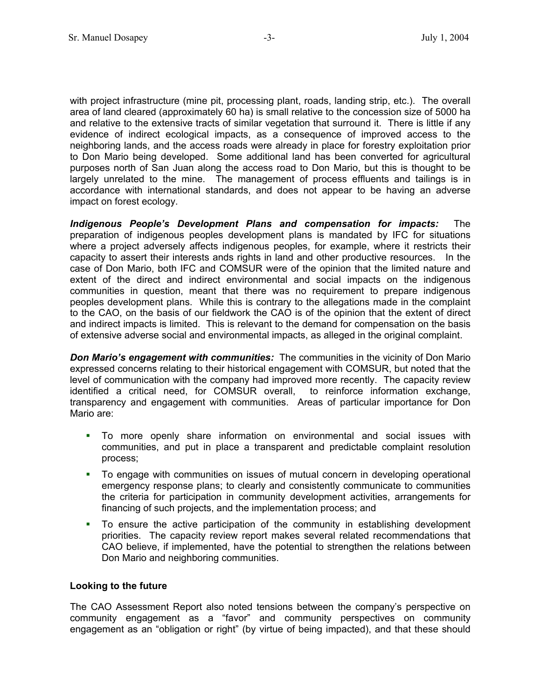with project infrastructure (mine pit, processing plant, roads, landing strip, etc.). The overall area of land cleared (approximately 60 ha) is small relative to the concession size of 5000 ha and relative to the extensive tracts of similar vegetation that surround it. There is little if any evidence of indirect ecological impacts, as a consequence of improved access to the neighboring lands, and the access roads were already in place for forestry exploitation prior to Don Mario being developed. Some additional land has been converted for agricultural purposes north of San Juan along the access road to Don Mario, but this is thought to be largely unrelated to the mine. The management of process effluents and tailings is in accordance with international standards, and does not appear to be having an adverse impact on forest ecology.

*Indigenous People's Development Plans and compensation for impacts:* The preparation of indigenous peoples development plans is mandated by IFC for situations where a project adversely affects indigenous peoples, for example, where it restricts their capacity to assert their interests ands rights in land and other productive resources. In the case of Don Mario, both IFC and COMSUR were of the opinion that the limited nature and extent of the direct and indirect environmental and social impacts on the indigenous communities in question, meant that there was no requirement to prepare indigenous peoples development plans. While this is contrary to the allegations made in the complaint to the CAO, on the basis of our fieldwork the CAO is of the opinion that the extent of direct and indirect impacts is limited. This is relevant to the demand for compensation on the basis of extensive adverse social and environmental impacts, as alleged in the original complaint.

**Don Mario's engagement with communities:** The communities in the vicinity of Don Mario expressed concerns relating to their historical engagement with COMSUR, but noted that the level of communication with the company had improved more recently. The capacity review identified a critical need, for COMSUR overall, to reinforce information exchange, transparency and engagement with communities. Areas of particular importance for Don Mario are:

- To more openly share information on environmental and social issues with communities, and put in place a transparent and predictable complaint resolution process; a i
- $\mathbf{r}$ To engage with communities on issues of mutual concern in developing operational emergency response plans; to clearly and consistently communicate to communities the criteria for participation in community development activities, arrangements for financing of such projects, and the implementation process; and
- a i To ensure the active participation of the community in establishing development priorities. The capacity review report makes several related recommendations that CAO believe, if implemented, have the potential to strengthen the relations between Don Mario and neighboring communities.

## **Looking to the future**

The CAO Assessment Report also noted tensions between the company's perspective on community engagement as a "favor" and community perspectives on community engagement as an "obligation or right" (by virtue of being impacted), and that these should